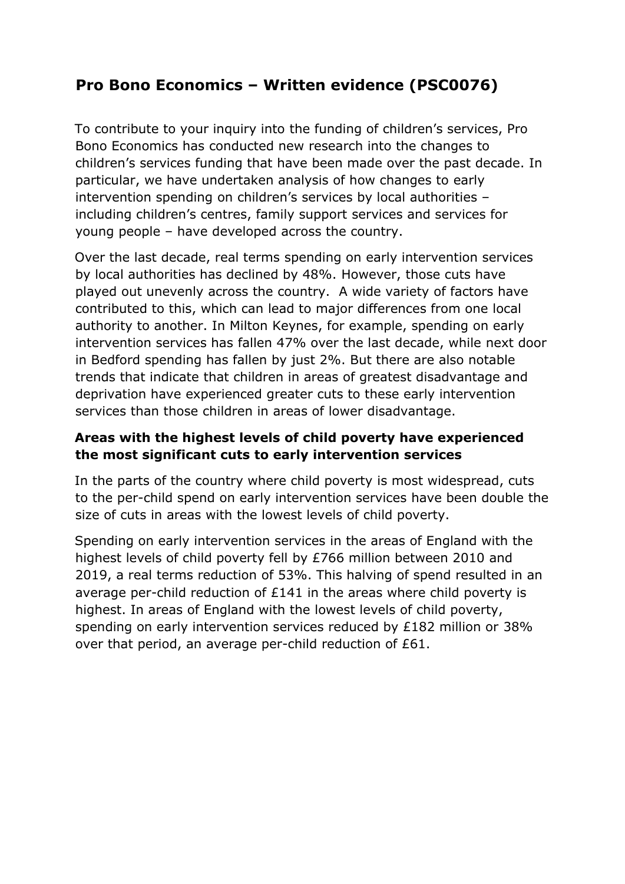## **Pro Bono Economics – Written evidence (PSC0076)**

To contribute to your inquiry into the funding of children's services, Pro Bono Economics has conducted new research into the changes to children's services funding that have been made over the past decade. In particular, we have undertaken analysis of how changes to early intervention spending on children's services by local authorities – including children's centres, family support services and services for young people – have developed across the country.

Over the last decade, real terms spending on early intervention services by local authorities has declined by 48%. However, those cuts have played out unevenly across the country. A wide variety of factors have contributed to this, which can lead to major differences from one local authority to another. In Milton Keynes, for example, spending on early intervention services has fallen 47% over the last decade, while next door in Bedford spending has fallen by just 2%. But there are also notable trends that indicate that children in areas of greatest disadvantage and deprivation have experienced greater cuts to these early intervention services than those children in areas of lower disadvantage.

## **Areas with the highest levels of child poverty have experienced the most significant cuts to early intervention services**

In the parts of the country where child poverty is most widespread, cuts to the per-child spend on early intervention services have been double the size of cuts in areas with the lowest levels of child poverty.

Spending on early intervention services in the areas of England with the highest levels of child poverty fell by £766 million between 2010 and 2019, a real terms reduction of 53%. This halving of spend resulted in an average per-child reduction of £141 in the areas where child poverty is highest. In areas of England with the lowest levels of child poverty, spending on early intervention services reduced by £182 million or 38% over that period, an average per-child reduction of £61.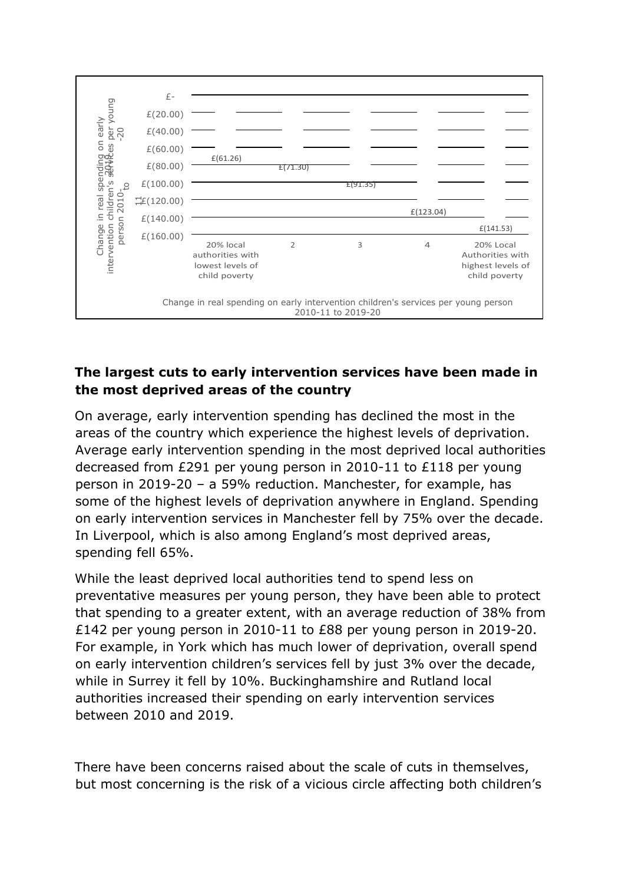

## **The largest cuts to early intervention services have been made in the most deprived areas of the country**

On average, early intervention spending has declined the most in the areas of the country which experience the highest levels of deprivation. Average early intervention spending in the most deprived local authorities decreased from £291 per young person in 2010-11 to £118 per young person in 2019-20 – a 59% reduction. Manchester, for example, has some of the highest levels of deprivation anywhere in England. Spending on early intervention services in Manchester fell by 75% over the decade. In Liverpool, which is also among England's most deprived areas, spending fell 65%.

While the least deprived local authorities tend to spend less on preventative measures per young person, they have been able to protect that spending to a greater extent, with an average reduction of 38% from £142 per young person in 2010-11 to £88 per young person in 2019-20. For example, in York which has much lower of deprivation, overall spend on early intervention children's services fell by just 3% over the decade, while in Surrey it fell by 10%. Buckinghamshire and Rutland local authorities increased their spending on early intervention services between 2010 and 2019.

There have been concerns raised about the scale of cuts in themselves, but most concerning is the risk of a vicious circle affecting both children's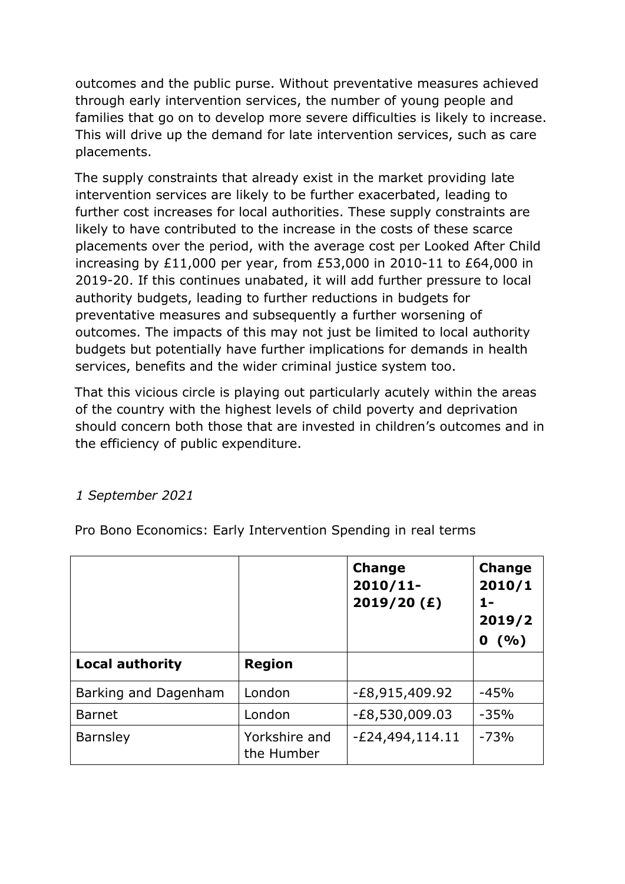outcomes and the public purse. Without preventative measures achieved through early intervention services, the number of young people and families that go on to develop more severe difficulties is likely to increase. This will drive up the demand for late intervention services, such as care placements.

The supply constraints that already exist in the market providing late intervention services are likely to be further exacerbated, leading to further cost increases for local authorities. These supply constraints are likely to have contributed to the increase in the costs of these scarce placements over the period, with the average cost per Looked After Child increasing by £11,000 per year, from £53,000 in 2010-11 to £64,000 in 2019-20. If this continues unabated, it will add further pressure to local authority budgets, leading to further reductions in budgets for preventative measures and subsequently a further worsening of outcomes. The impacts of this may not just be limited to local authority budgets but potentially have further implications for demands in health services, benefits and the wider criminal justice system too.

That this vicious circle is playing out particularly acutely within the areas of the country with the highest levels of child poverty and deprivation should concern both those that are invested in children's outcomes and in the efficiency of public expenditure.

## *1 September 2021*

Pro Bono Economics: Early Intervention Spending in real terms

|                        |                             | <b>Change</b><br>$2010/11$ -<br>2019/20 (f) | <b>Change</b><br>2010/1<br>1-<br>2019/2<br>(9/0)<br>0 |
|------------------------|-----------------------------|---------------------------------------------|-------------------------------------------------------|
| <b>Local authority</b> | <b>Region</b>               |                                             |                                                       |
| Barking and Dagenham   | London                      | -£8,915,409.92                              | $-45%$                                                |
| <b>Barnet</b>          | London                      | $-E8,530,009.03$                            | $-35%$                                                |
| <b>Barnsley</b>        | Yorkshire and<br>the Humber | $-E24,494,114.11$                           | $-73%$                                                |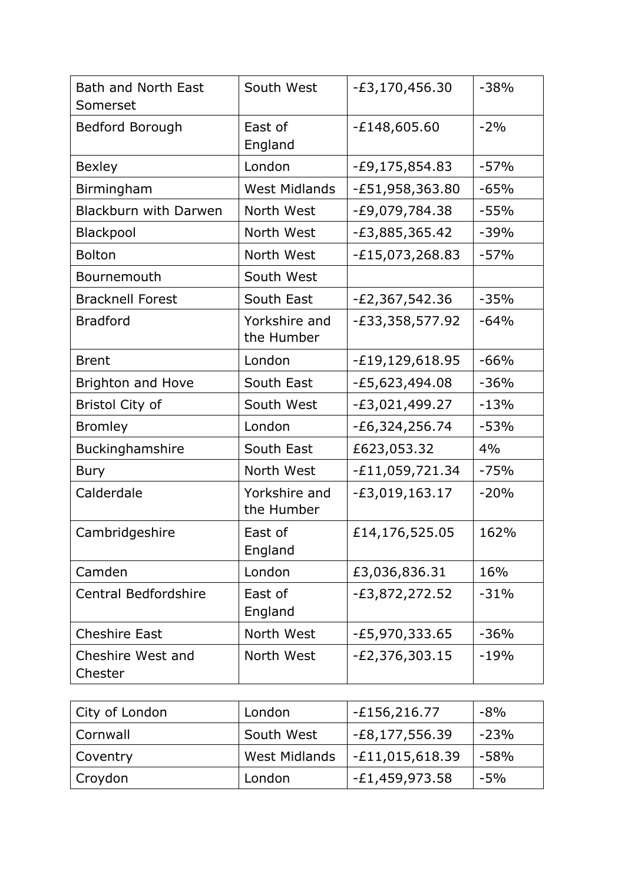| <b>Bath and North East</b><br>Somerset | South West                  | $-E3,170,456.30$    | $-38%$ |
|----------------------------------------|-----------------------------|---------------------|--------|
| Bedford Borough                        | East of<br>England          | $-E148,605.60$      | $-2%$  |
| <b>Bexley</b>                          | London                      | -£9,175,854.83      | $-57%$ |
| Birmingham                             | <b>West Midlands</b>        | $-E51,958,363.80$   | $-65%$ |
| <b>Blackburn with Darwen</b>           | North West                  | -£9,079,784.38      | $-55%$ |
| Blackpool                              | North West                  | $-E3,885,365.42$    | $-39%$ |
| <b>Bolton</b>                          | North West                  | $-E15,073,268.83$   | $-57%$ |
| Bournemouth                            | South West                  |                     |        |
| <b>Bracknell Forest</b>                | South East                  | $-E2,367,542.36$    | $-35%$ |
| <b>Bradford</b>                        | Yorkshire and<br>the Humber | $-E33,358,577.92$   | $-64%$ |
| <b>Brent</b>                           | London                      | $-E19, 129, 618.95$ | $-66%$ |
| <b>Brighton and Hove</b>               | South East                  | -£5,623,494.08      | $-36%$ |
| <b>Bristol City of</b>                 | South West                  | $-E3,021,499.27$    | $-13%$ |
| <b>Bromley</b>                         | London                      | $-E6,324,256.74$    | $-53%$ |
| Buckinghamshire                        | South East                  | £623,053.32         | 4%     |
| <b>Bury</b>                            | North West                  | $-E11,059,721.34$   | $-75%$ |
| Calderdale                             | Yorkshire and<br>the Humber | $-£3,019,163.17$    | $-20%$ |
| Cambridgeshire                         | East of<br>England          | £14,176,525.05      | 162%   |
| Camden                                 | London                      | £3,036,836.31       | 16%    |
| <b>Central Bedfordshire</b>            | East of<br>England          | $-E3,872,272.52$    | $-31%$ |
| <b>Cheshire East</b>                   | North West                  | $-E5,970,333.65$    | $-36%$ |
| Cheshire West and<br>Chester           | North West                  | $-E2,376,303.15$    | $-19%$ |

| City of London | London               | $-E156,216.77$    | $-8\%$ |
|----------------|----------------------|-------------------|--------|
| Cornwall       | South West           | $-E8,177,556.39$  | -23%   |
| Coventry       | <b>West Midlands</b> | $-E11,015,618.39$ | -58%   |
| Croydon        | London               | $-E1,459,973.58$  | $-5%$  |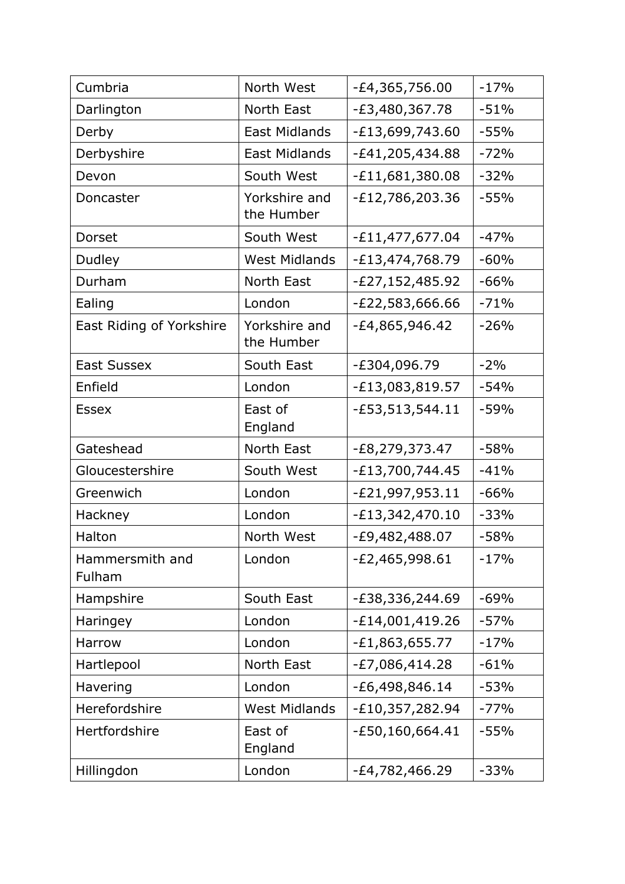| Cumbria                   | North West                  | -£4,365,756.00    | $-17%$ |
|---------------------------|-----------------------------|-------------------|--------|
| Darlington                | North East                  | -£3,480,367.78    | $-51%$ |
| Derby                     | <b>East Midlands</b>        | $-E13,699,743.60$ | $-55%$ |
| Derbyshire                | <b>East Midlands</b>        | $-E41,205,434.88$ | $-72%$ |
| Devon                     | South West                  | $-E11,681,380.08$ | $-32%$ |
| Doncaster                 | Yorkshire and<br>the Humber | E12,786,203.36    | $-55%$ |
| Dorset                    | South West                  | $-E11,477,677.04$ | $-47%$ |
| Dudley                    | <b>West Midlands</b>        | -£13,474,768.79   | $-60%$ |
| Durham                    | North East                  | -£27,152,485.92   | $-66%$ |
| Ealing                    | London                      | -£22,583,666.66   | $-71%$ |
| East Riding of Yorkshire  | Yorkshire and<br>the Humber | -£4,865,946.42    | $-26%$ |
| <b>East Sussex</b>        | South East                  | -£304,096.79      | $-2%$  |
| Enfield                   | London                      | $-E13,083,819.57$ | $-54%$ |
| <b>Essex</b>              | East of<br>England          | $-E53,513,544.11$ | $-59%$ |
| Gateshead                 | North East                  | -£8,279,373.47    | $-58%$ |
| Gloucestershire           | South West                  | $-E13,700,744.45$ | $-41%$ |
| Greenwich                 | London                      | $-E21,997,953.11$ | $-66%$ |
| Hackney                   | London                      | $-E13,342,470.10$ | $-33%$ |
| Halton                    | North West                  | -£9,482,488.07    | $-58%$ |
| Hammersmith and<br>Fulham | London                      | $-E2,465,998.61$  | $-17%$ |
| Hampshire                 | South East                  | E38,336,244.69    | $-69%$ |
| Haringey                  | London                      | $-E14,001,419.26$ | $-57%$ |
| Harrow                    | London                      | $-E1,863,655.77$  | $-17%$ |
| Hartlepool                | North East                  | $-E7,086,414.28$  | $-61%$ |
| Havering                  | London                      | $-E6,498,846.14$  | $-53%$ |
| Herefordshire             | <b>West Midlands</b>        | $-E10,357,282.94$ | $-77%$ |
| Hertfordshire             | East of<br>England          | -£50,160,664.41   | $-55%$ |
| Hillingdon                | London                      | -£4,782,466.29    | $-33%$ |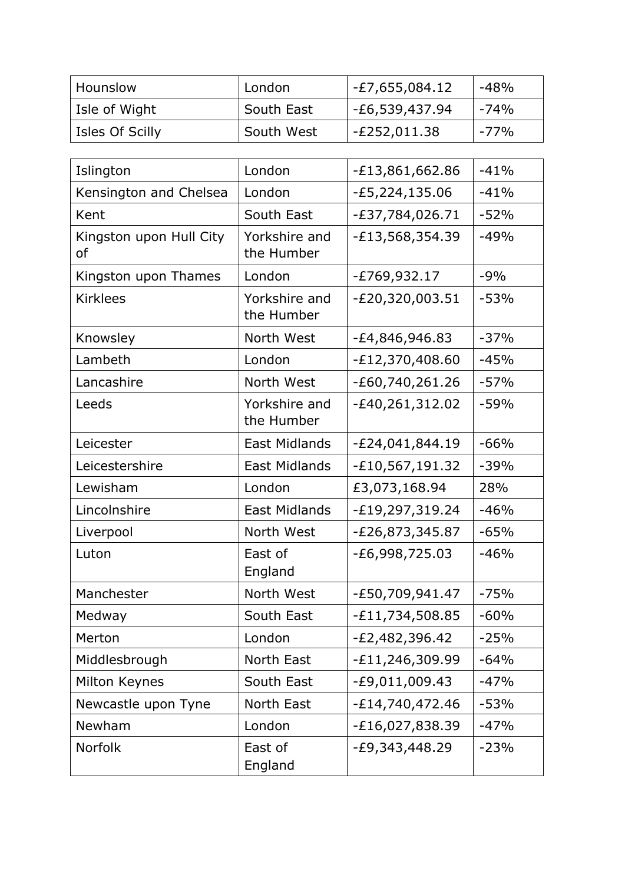| Hounslow        | London     | $-E7,655,084.12$ | -48%   |
|-----------------|------------|------------------|--------|
| Isle of Wight   | South East | $-E6,539,437.94$ | $-74%$ |
| Isles Of Scilly | South West | -£252,011.38     | $-77%$ |

| Islington                                | London                      | $-E13,861,662.86$ | $-41%$ |
|------------------------------------------|-----------------------------|-------------------|--------|
| Kensington and Chelsea                   | London                      | $-E5,224,135.06$  | $-41%$ |
| Kent                                     | South East                  | $-E37,784,026.71$ | $-52%$ |
| Kingston upon Hull City<br><sub>of</sub> | Yorkshire and<br>the Humber | $-E13,568,354.39$ | $-49%$ |
| Kingston upon Thames                     | London                      | $-E769,932.17$    | $-9%$  |
| <b>Kirklees</b>                          | Yorkshire and<br>the Humber | $-E20,320,003.51$ | $-53%$ |
| Knowsley                                 | North West                  | -£4,846,946.83    | $-37%$ |
| Lambeth                                  | London                      | $-E12,370,408.60$ | $-45%$ |
| Lancashire                               | North West                  | $-E60,740,261.26$ | $-57%$ |
| Leeds                                    | Yorkshire and<br>the Humber | $-E40,261,312.02$ | $-59%$ |
| Leicester                                | <b>East Midlands</b>        | $-E24,041,844.19$ | $-66%$ |
| Leicestershire                           | <b>East Midlands</b>        | $-E10,567,191.32$ | $-39%$ |
| Lewisham                                 | London                      | £3,073,168.94     | 28%    |
| Lincolnshire                             | <b>East Midlands</b>        | $-E19,297,319.24$ | $-46%$ |
| Liverpool                                | North West                  | -£26,873,345.87   | $-65%$ |
| Luton                                    | East of<br>England          | $-E6,998,725.03$  | $-46%$ |
| Manchester                               | North West                  | -£50,709,941.47   | $-75%$ |
| Medway                                   | South East                  | $-E11,734,508.85$ | $-60%$ |
| Merton                                   | London                      | $-E2,482,396.42$  | $-25%$ |
| Middlesbrough                            | North East                  | $-E11,246,309.99$ | $-64%$ |
| Milton Keynes                            | South East                  | $-E9,011,009.43$  | $-47%$ |
| Newcastle upon Tyne                      | North East                  | $-E14,740,472.46$ | $-53%$ |
| Newham                                   | London                      | $-E16,027,838.39$ | $-47%$ |
| Norfolk                                  | East of<br>England          | $-E9,343,448.29$  | $-23%$ |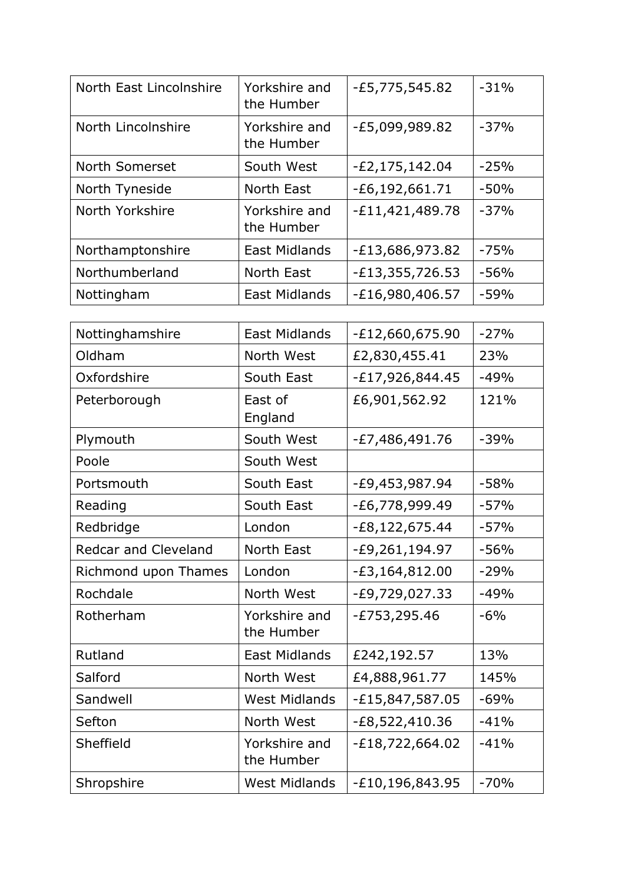| North East Lincolnshire | Yorkshire and<br>the Humber | $-E5,775,545.82$   | $-31%$ |
|-------------------------|-----------------------------|--------------------|--------|
| North Lincolnshire      | Yorkshire and<br>the Humber | $-E5,099,989.82$   | $-37%$ |
| North Somerset          | South West                  | $-E2, 175, 142.04$ | $-25%$ |
| North Tyneside          | North East                  | $-E6, 192, 661.71$ | $-50%$ |
| North Yorkshire         | Yorkshire and<br>the Humber | $-E11,421,489.78$  | $-37%$ |
| Northamptonshire        | <b>East Midlands</b>        | $-E13,686,973.82$  | $-75%$ |
| Northumberland          | North East                  | $-E13,355,726.53$  | $-56%$ |
| Nottingham              | <b>East Midlands</b>        | $-E16,980,406.57$  | $-59%$ |

| Nottinghamshire             | <b>East Midlands</b>        | $-E12,660,675.90$   | $-27%$ |
|-----------------------------|-----------------------------|---------------------|--------|
| Oldham                      | North West                  | £2,830,455.41       | 23%    |
| Oxfordshire                 | South East                  | $-E17,926,844.45$   | $-49%$ |
| Peterborough                | East of<br>England          | £6,901,562.92       | 121%   |
| Plymouth                    | South West                  | $-E7,486,491.76$    | $-39%$ |
| Poole                       | South West                  |                     |        |
| Portsmouth                  | South East                  | -£9,453,987.94      | $-58%$ |
| Reading                     | South East                  | $-E6,778,999.49$    | $-57%$ |
| Redbridge                   | London                      | $-E8,122,675.44$    | $-57%$ |
| <b>Redcar and Cleveland</b> | North East                  | -£9,261,194.97      | $-56%$ |
| Richmond upon Thames        | London                      | $-E3,164,812.00$    | $-29%$ |
| Rochdale                    | North West                  | $-E9,729,027.33$    | $-49%$ |
| Rotherham                   | Yorkshire and<br>the Humber | $-E753,295.46$      | $-6%$  |
| Rutland                     | East Midlands               | £242,192.57         | 13%    |
| Salford                     | North West                  | £4,888,961.77       | 145%   |
| Sandwell                    | <b>West Midlands</b>        | $-E15,847,587.05$   | $-69%$ |
| Sefton                      | North West                  | $-E8,522,410.36$    | $-41%$ |
| Sheffield                   | Yorkshire and<br>the Humber | $-E18,722,664.02$   | $-41%$ |
| Shropshire                  | <b>West Midlands</b>        | $-E10, 196, 843.95$ | $-70%$ |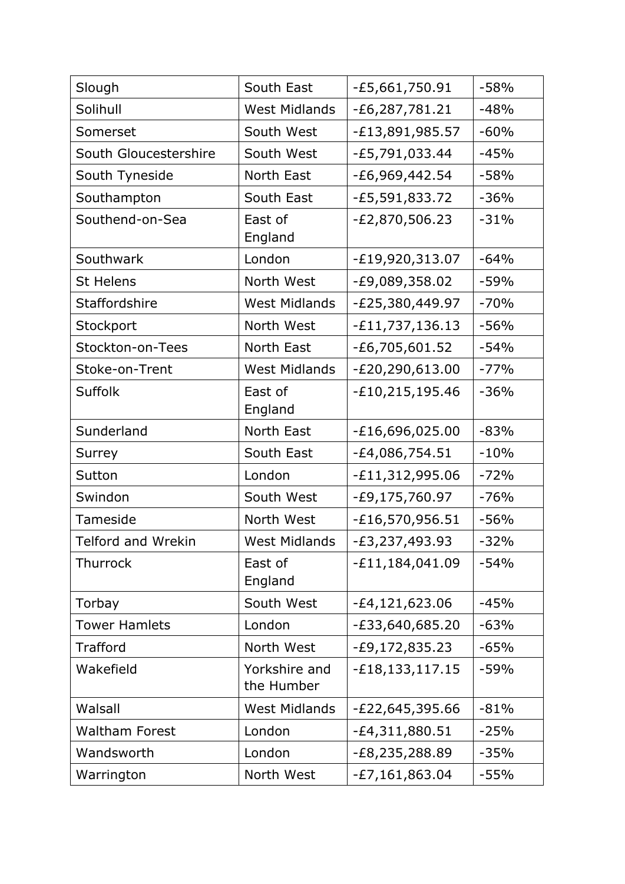| Slough                | South East                  | -£5,661,750.91      | $-58%$ |
|-----------------------|-----------------------------|---------------------|--------|
| Solihull              | <b>West Midlands</b>        | $-E6, 287, 781.21$  | $-48%$ |
| Somerset              | South West                  | $-E13,891,985.57$   | $-60%$ |
| South Gloucestershire | South West                  | -£5,791,033.44      | $-45%$ |
| South Tyneside        | North East                  | $-E6,969,442.54$    | $-58%$ |
| Southampton           | South East                  | $-E5,591,833.72$    | $-36%$ |
| Southend-on-Sea       | East of<br>England          | $-E2,870,506.23$    | $-31%$ |
| Southwark             | London                      | -£19,920,313.07     | $-64%$ |
| <b>St Helens</b>      | North West                  | -£9,089,358.02      | $-59%$ |
| Staffordshire         | <b>West Midlands</b>        | -£25,380,449.97     | $-70%$ |
| Stockport             | North West                  | $-E11,737,136.13$   | $-56%$ |
| Stockton-on-Tees      | North East                  | $-E6,705,601.52$    | $-54%$ |
| Stoke-on-Trent        | <b>West Midlands</b>        | $-E20,290,613.00$   | $-77%$ |
| Suffolk               | East of<br>England          | $-E10, 215, 195.46$ | $-36%$ |
| Sunderland            | North East                  | E16,696,025.00      | $-83%$ |
| Surrey                | South East                  | $-E4,086,754.51$    | $-10%$ |
| Sutton                | London                      | $-E11,312,995.06$   | $-72%$ |
| Swindon               | South West                  | $-E9,175,760.97$    | $-76%$ |
| Tameside              | North West                  | $-E16,570,956.51$   | $-56%$ |
| Telford and Wrekin    | <b>West Midlands</b>        | $-E3,237,493.93$    | $-32%$ |
| Thurrock              | East of<br>England          | $-E11,184,041.09$   | $-54%$ |
| Torbay                | South West                  | $-E4, 121, 623.06$  | $-45%$ |
| <b>Tower Hamlets</b>  | London                      | -£33,640,685.20     | $-63%$ |
| Trafford              | North West                  | $-E9,172,835.23$    | $-65%$ |
| Wakefield             | Yorkshire and<br>the Humber | $-E18, 133, 117.15$ | $-59%$ |
| Walsall               | <b>West Midlands</b>        | $-E22,645,395.66$   | $-81%$ |
| <b>Waltham Forest</b> | London                      | $-E4,311,880.51$    | $-25%$ |
| Wandsworth            | London                      | E8,235,288.89       | $-35%$ |
| Warrington            | North West                  | $-E7,161,863.04$    | $-55%$ |